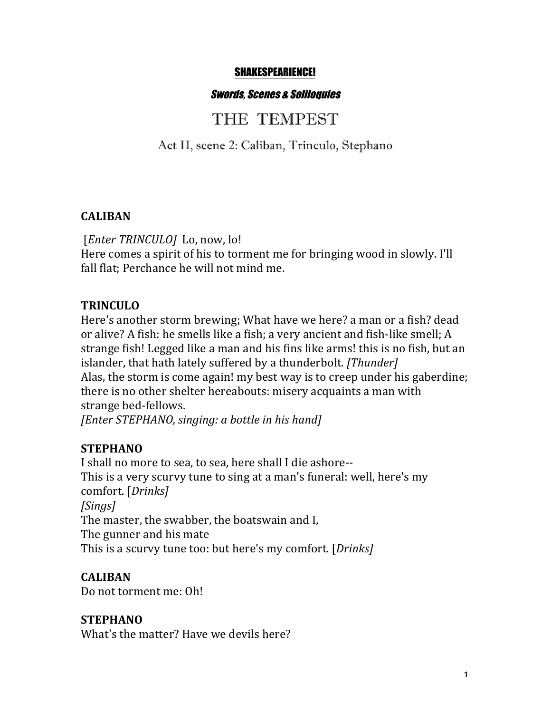#### SHAKESPEARIENCE!

#### Swords, Scenes & Soliloquies

# THE TEMPEST

Act II, scene 2: Caliban, Trinculo, Stephano

#### **CALIBAN**

[*Enter TRINCULO*] Lo, now, lo! Here comes a spirit of his to torment me for bringing wood in slowly. I'll fall flat: Perchance he will not mind me.

#### **TRINCULO**

Here's another storm brewing; What have we here? a man or a fish? dead or alive? A fish: he smells like a fish; a very ancient and fish-like smell; A strange fish! Legged like a man and his fins like arms! this is no fish, but an islander, that hath lately suffered by a thunderbolt. *[Thunder]* Alas, the storm is come again! my best way is to creep under his gaberdine; there is no other shelter hereabouts: misery acquaints a man with strange bed-fellows.

*[Enter STEPHANO, singing: a bottle in his hand]* 

### **STEPHANO**

I shall no more to sea, to sea, here shall I die ashore--This is a very scurvy tune to sing at a man's funeral: well, here's my comfort. [*Drinks] [Sings]* The master, the swabber, the boatswain and I, The gunner and his mate This is a scurvy tune too: but here's my comfort. [*Drinks*]

### **CALIBAN**

Do not torment me: Oh!

### **STEPHANO**

What's the matter? Have we devils here?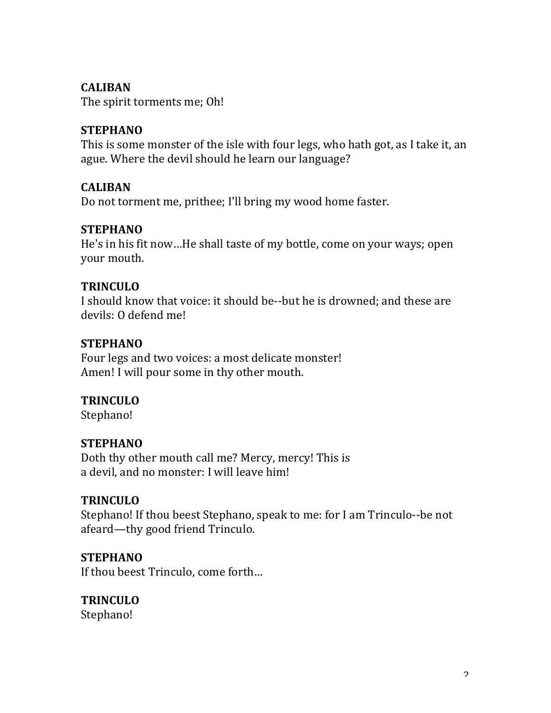#### **CALIBAN**

The spirit torments me; Oh!

### **STEPHANO**

This is some monster of the isle with four legs, who hath got, as I take it, an ague. Where the devil should he learn our language?

#### **CALIBAN**

Do not torment me, prithee; I'll bring my wood home faster.

#### **STEPHANO**

He's in his fit now...He shall taste of my bottle, come on your ways; open your mouth.

#### **TRINCULO**

I should know that voice: it should be--but he is drowned; and these are devils: 0 defend me!

#### **STEPHANO**

Four legs and two voices: a most delicate monster! Amen! I will pour some in thy other mouth.

### **TRINCULO**

Stephano!

### **STEPHANO**

Doth thy other mouth call me? Mercy, mercy! This is a devil, and no monster: I will leave him!

### **TRINCULO**

Stephano! If thou beest Stephano, speak to me: for I am Trinculo--be not afeard—thy good friend Trinculo.

#### **STEPHANO**

If thou beest Trinculo, come forth...

### **TRINCULO**

Stephano!